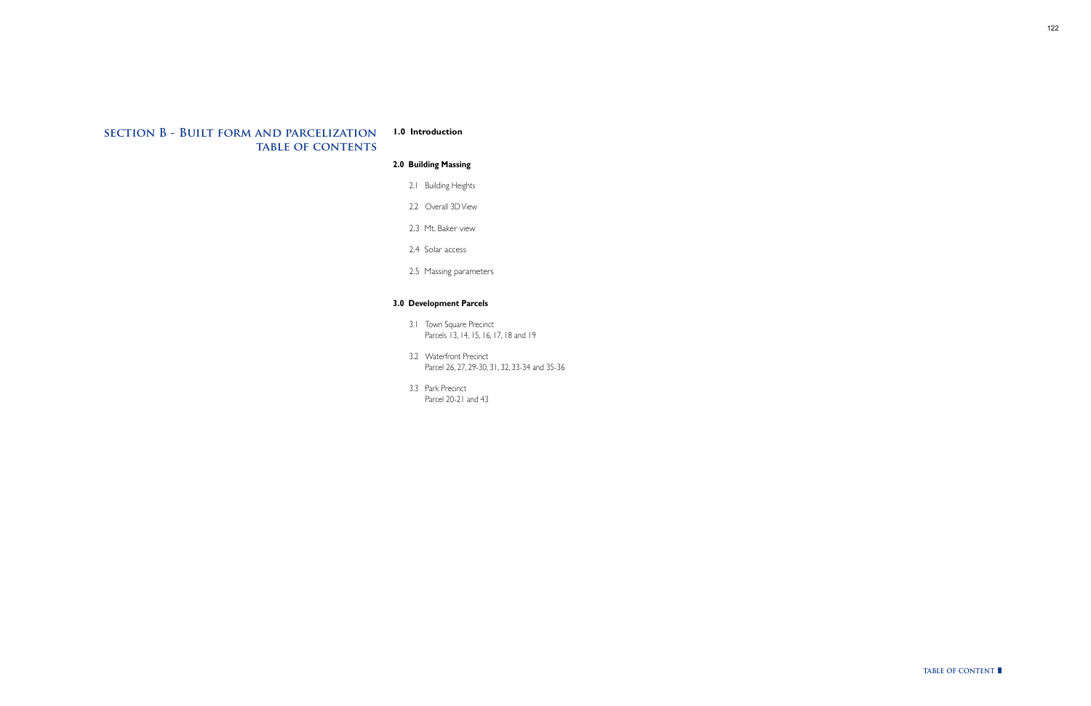## **section B - Built form and parcelization table of contents**

**1.0 Introduction**

## **2.0 Building Massing**

- 2.1 Building Heights
- 2.2 Overall 3D View
- 2.3 Mt. Baker view
- 2.4 Solar access
- 2.5 Massing parameters

## **3.0 Development Parcels**

- 3.1 Town Square Precinct Parcels 13, 14, 15, 16, 17, 18 and 19
- 3.2 Waterfront Precinct Parcel 26, 27, 29-30, 31, 32, 33-34 and 35-36
- 3.3 Park Precinct Parcel 20-21 and 43

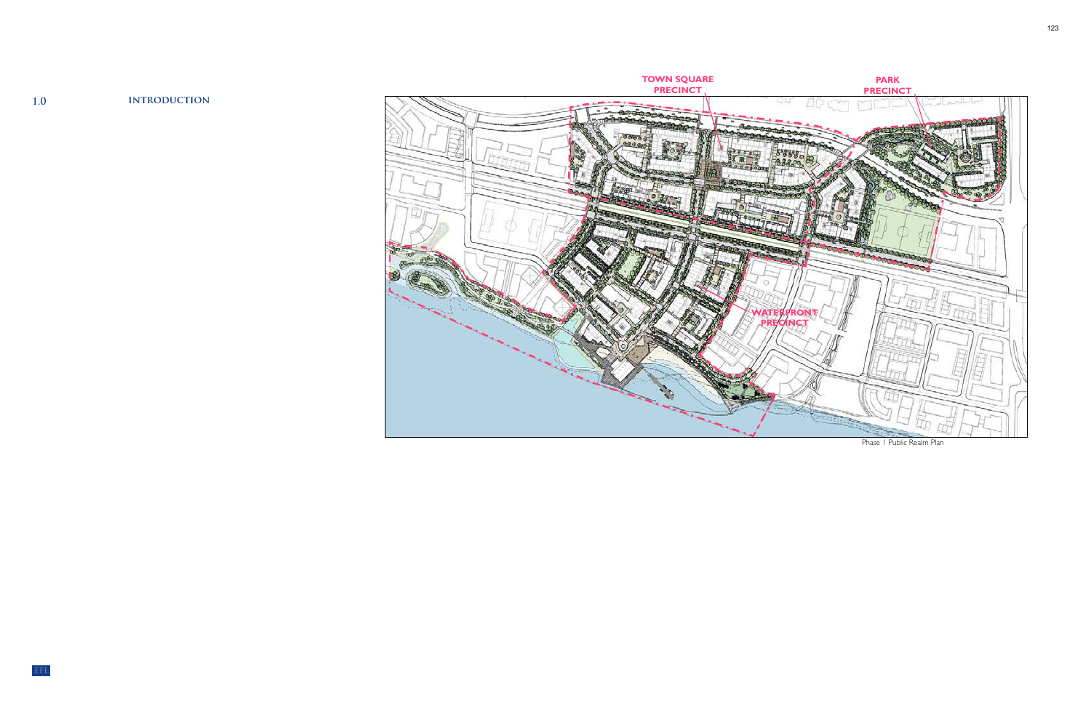Phase 1 Public Realm Plan

## **1.0 introduction**